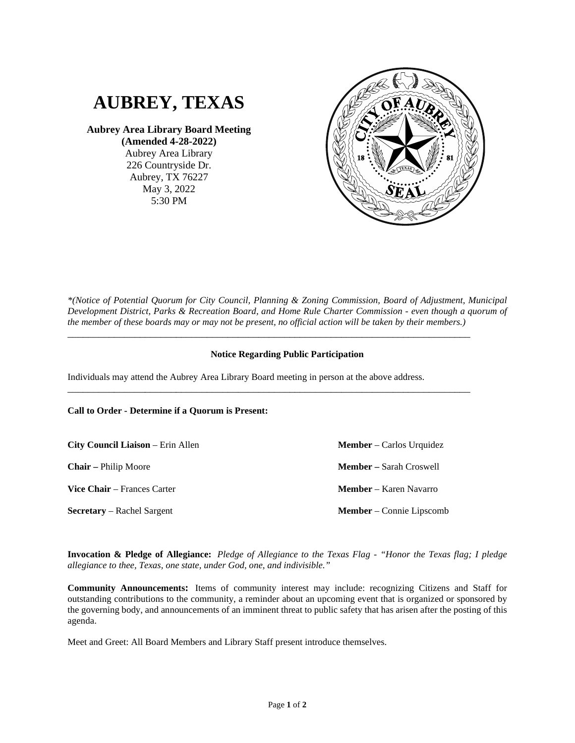

**Aubrey Area Library Board Meeting (Amended 4-28-2022)**

> Aubrey Area Library 226 Countryside Dr. Aubrey, TX 76227 May 3, 2022 5:30 PM



*\*(Notice of Potential Quorum for City Council, Planning & Zoning Commission, Board of Adjustment, Municipal Development District, Parks & Recreation Board, and Home Rule Charter Commission - even though a quorum of the member of these boards may or may not be present, no official action will be taken by their members.)*

## **Notice Regarding Public Participation**

\_\_\_\_\_\_\_\_\_\_\_\_\_\_\_\_\_\_\_\_\_\_\_\_\_\_\_\_\_\_\_\_\_\_\_\_\_\_\_\_\_\_\_\_\_\_\_\_\_\_\_\_\_\_\_\_\_\_\_\_\_\_\_\_\_\_\_\_\_\_\_\_\_\_\_\_\_\_

\_\_\_\_\_\_\_\_\_\_\_\_\_\_\_\_\_\_\_\_\_\_\_\_\_\_\_\_\_\_\_\_\_\_\_\_\_\_\_\_\_\_\_\_\_\_\_\_\_\_\_\_\_\_\_\_\_\_\_\_\_\_\_\_\_\_\_\_\_\_\_\_\_\_\_\_\_\_

Individuals may attend the Aubrey Area Library Board meeting in person at the above address.

**Call to Order - Determine if a Quorum is Present:**

**City Council Liaison** – Erin Allen **Chair –** Philip Moore **Vice Chair** – Frances Carter **Secretary** – Rachel Sargent **Member** – Connie Lipscomb

**Member** – Carlos Urquidez **Member –** Sarah Croswell **Member** – Karen Navarro

**Invocation & Pledge of Allegiance:** *Pledge of Allegiance to the Texas Flag - "Honor the Texas flag; I pledge allegiance to thee, Texas, one state, under God, one, and indivisible."*

**Community Announcements:** Items of community interest may include: recognizing Citizens and Staff for outstanding contributions to the community, a reminder about an upcoming event that is organized or sponsored by the governing body, and announcements of an imminent threat to public safety that has arisen after the posting of this agenda.

Meet and Greet: All Board Members and Library Staff present introduce themselves.